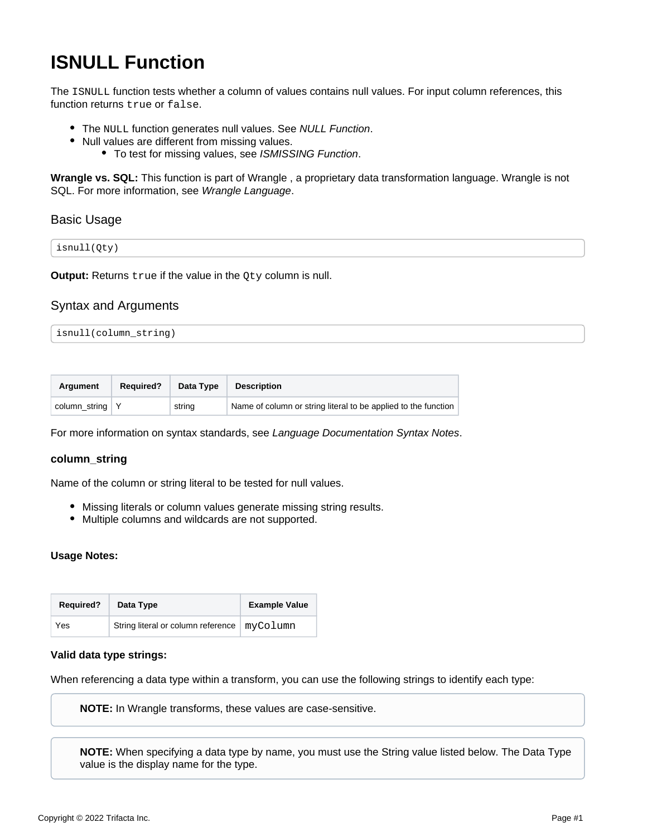# **ISNULL Function**

The ISNULL function tests whether a column of values contains null values. For input column references, this function returns true or false.

- The NULL function generates null values. See [NULL Function](https://docs.trifacta.com/display/SS/NULL+Function).
- Null values are different from missing values.
	- To test for missing values, see [ISMISSING Function](https://docs.trifacta.com/display/SS/ISMISSING+Function).

**Wrangle vs. SQL:** This function is part of Wrangle , a proprietary data transformation language. Wrangle is not SQL. For more information, see [Wrangle Language](https://docs.trifacta.com/display/SS/Wrangle+Language).

### Basic Usage

| isnull(Qty) |  |  |
|-------------|--|--|
|-------------|--|--|

**Output:** Returns true if the value in the Oty column is null.

### Syntax and Arguments

```
isnull(column_string)
```

| Argument          | <b>Required?</b> | Data Type | <b>Description</b>                                             |
|-------------------|------------------|-----------|----------------------------------------------------------------|
| column string $Y$ |                  | string    | Name of column or string literal to be applied to the function |

For more information on syntax standards, see [Language Documentation Syntax Notes](https://docs.trifacta.com/display/SS/Language+Documentation+Syntax+Notes).

#### **column\_string**

Name of the column or string literal to be tested for null values.

- Missing literals or column values generate missing string results.
- Multiple columns and wildcards are not supported.

#### **Usage Notes:**

| <b>Required?</b> | Data Type                          | <b>Example Value</b> |
|------------------|------------------------------------|----------------------|
| Yes              | String literal or column reference | myColumn             |

#### **Valid data type strings:**

When referencing a data type within a transform, you can use the following strings to identify each type:

**NOTE:** In Wrangle transforms, these values are case-sensitive.

**NOTE:** When specifying a data type by name, you must use the String value listed below. The Data Type value is the display name for the type.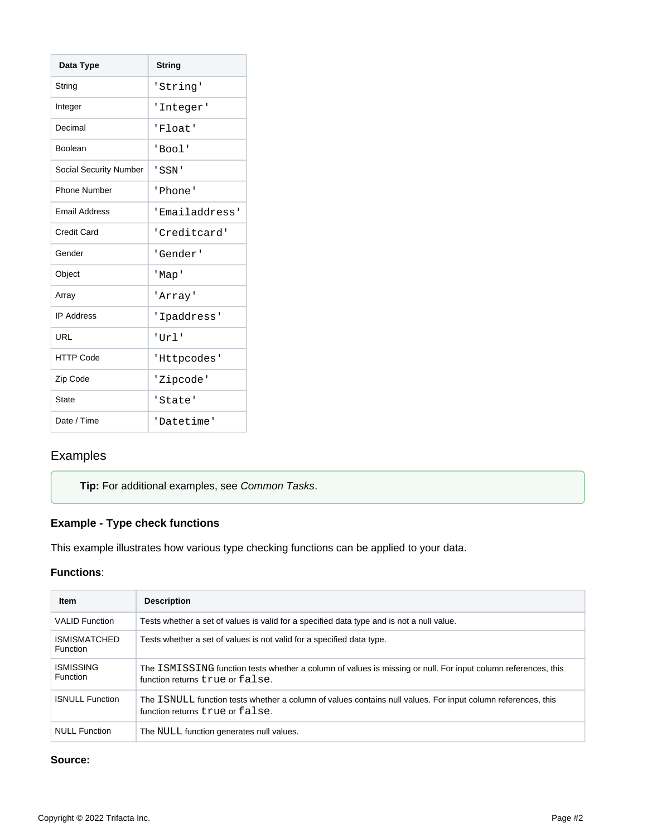| Data Type              | <b>String</b>  |
|------------------------|----------------|
| String                 | 'String'       |
| Integer                | 'Integer'      |
| Decimal                | 'Float'        |
| <b>Boolean</b>         | 'Bool'         |
| Social Security Number | ' SSN '        |
| <b>Phone Number</b>    | 'Phone'        |
| <b>Email Address</b>   | 'Emailaddress' |
| Credit Card            | 'Creditcard'   |
| Gender                 | 'Gender'       |
| Object                 | 'Map'          |
| Array                  | 'Array'        |
| <b>IP Address</b>      | 'Ipaddress'    |
| <b>URL</b>             | 'Url'          |
| <b>HTTP Code</b>       | 'Httpcodes'    |
| Zip Code               | 'Zipcode'      |
| <b>State</b>           | 'State'        |
| Date / Time            | 'Datetime'     |

## Examples

### **Tip:** For additional examples, see [Common Tasks](https://docs.trifacta.com/display/SS/Common+Tasks).

### **Example - Type check functions**

This example illustrates how various type checking functions can be applied to your data.

### **Functions**:

| <b>Item</b>                            | <b>Description</b>                                                                                                                               |
|----------------------------------------|--------------------------------------------------------------------------------------------------------------------------------------------------|
| <b>VALID Function</b>                  | Tests whether a set of values is valid for a specified data type and is not a null value.                                                        |
| <b>ISMISMATCHED</b><br><b>Function</b> | Tests whether a set of values is not valid for a specified data type.                                                                            |
| <b>ISMISSING</b><br><b>Function</b>    | The ISMISSING function tests whether a column of values is missing or null. For input column references, this<br>function returns true or false. |
| <b>ISNULL Function</b>                 | The ISNULL function tests whether a column of values contains null values. For input column references, this<br>function returns time or false.  |
| <b>NULL Function</b>                   | The NULL function generates null values.                                                                                                         |

### **Source:**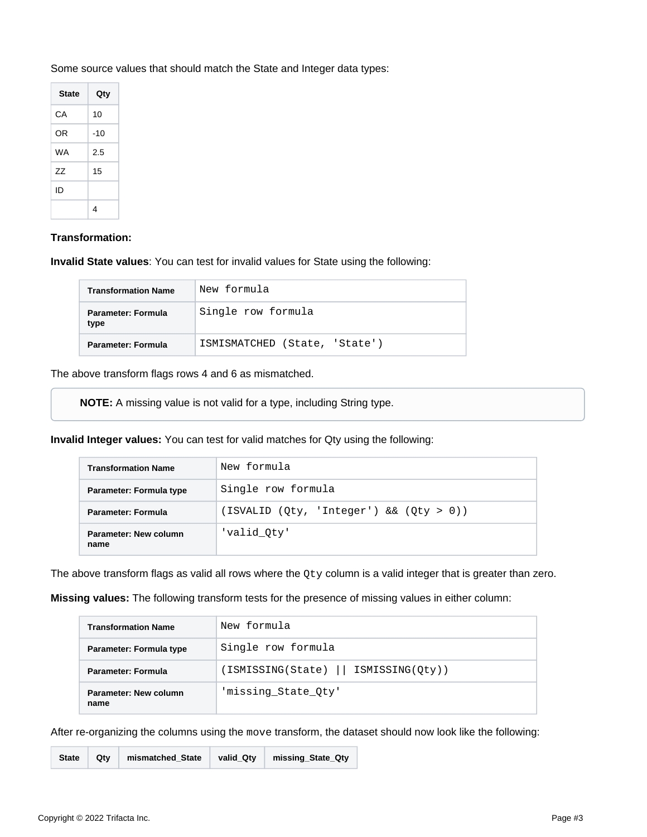| <b>State</b> | Qty   |
|--------------|-------|
| СA           | 10    |
| OR           | $-10$ |
| <b>WA</b>    | 2.5   |
| 77           | 15    |
| חו           |       |
|              |       |

Some source values that should match the State and Integer data types:

### **Transformation:**

**Invalid State values**: You can test for invalid values for State using the following:

| <b>Transformation Name</b> | New formula                   |
|----------------------------|-------------------------------|
| Parameter: Formula<br>type | Single row formula            |
| Parameter: Formula         | ISMISMATCHED (State, 'State') |

The above transform flags rows 4 and 6 as mismatched.

**NOTE:** A missing value is not valid for a type, including String type.

**Invalid Integer values:** You can test for valid matches for Qty using the following:

| <b>Transformation Name</b>    | New formula                             |  |
|-------------------------------|-----------------------------------------|--|
| Parameter: Formula type       | Single row formula                      |  |
| <b>Parameter: Formula</b>     | (ISVALID (Qty, 'Integer') && (Qty > 0)) |  |
| Parameter: New column<br>name | 'valid Oty'                             |  |

The above transform flags as valid all rows where the  $Qty$  column is a valid integer that is greater than zero.

**Missing values:** The following transform tests for the presence of missing values in either column:

| <b>Transformation Name</b>    | New formula                          |
|-------------------------------|--------------------------------------|
| Parameter: Formula type       | Single row formula                   |
| <b>Parameter: Formula</b>     | (ISMISSING(State)<br>ISMISSING(Qty)) |
| Parameter: New column<br>name | 'missing_State_Qty'                  |

After re-organizing the columns using the move transform, the dataset should now look like the following:

**State Qty mismatched\_State valid\_Qty missing\_State\_Qty**